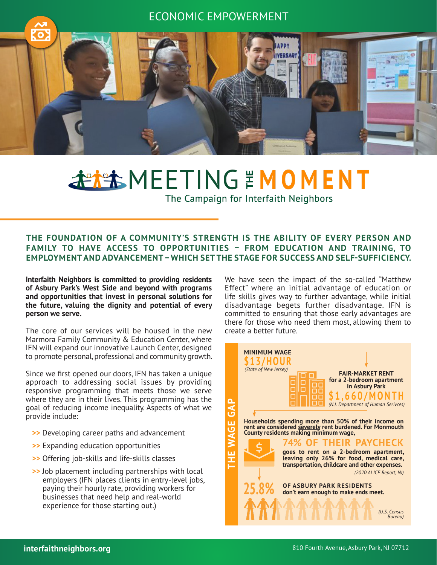# ECONOMIC EMPOWERMENT



# **FILTING EMOMENT**

The Campaign for Interfaith Neighbors

## **THE FOUNDATION OF A COMMUNITY'S STRENGTH IS THE ABILITY OF EVERY PERSON AND FAMILY TO HAVE ACCESS TO OPPORTUNITIES – FROM EDUCATION AND TRAINING, TO EMPLOYMENT AND ADVANCEMENT – WHICH SET THE STAGE FOR SUCCESS AND SELF-SUFFICIENCY.**

**Interfaith Neighbors is committed to providing residents of Asbury Park's West Side and beyond with programs and opportunities that invest in personal solutions for the future, valuing the dignity and potential of every person we serve.** 

The core of our services will be housed in the new Marmora Family Community & Education Center, where IFN will expand our innovative Launch Center, designed to promote personal, professional and community growth.

Since we first opened our doors, IFN has taken a unique approach to addressing social issues by providing responsive programming that meets those we serve where they are in their lives. This programming has the goal of reducing income inequality. Aspects of what we provide include:

- **>>** Developing career paths and advancement
- **>>** Expanding education opportunities
- **>>** Offering job-skills and life-skills classes
- **>>** Job placement including partnerships with local employers (IFN places clients in entry-level jobs, paying their hourly rate, providing workers for businesses that need help and real-world experience for those starting out.)

We have seen the impact of the so-called "Matthew Effect" where an initial advantage of education or life skills gives way to further advantage, while initial disadvantage begets further disadvantage. IFN is committed to ensuring that those early advantages are there for those who need them most, allowing them to create a better future.